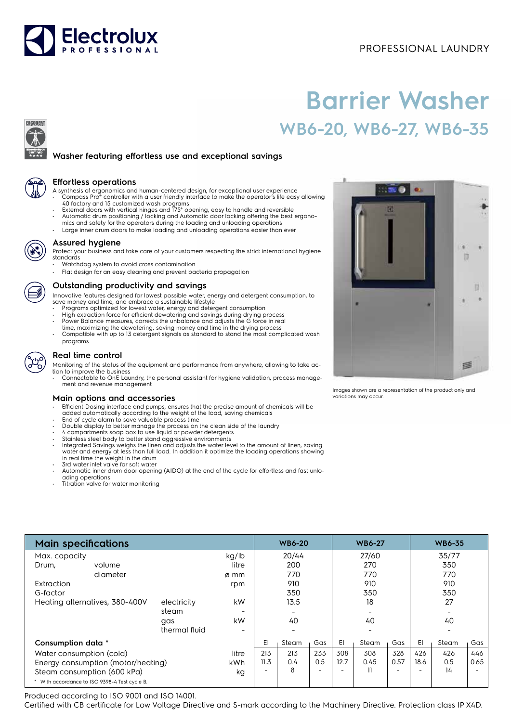## PROFESSIONAL LAUNDRY



# **Barrier Washer WB6-20, WB6-27, WB6-35**





ERGOCERT

#### **Effortless operations**

- A synthesis of ergonomics and human-centered design, for exceptional user experience Compass Pro® controller with a user friendly interface to make the operator's life easy allowing
- 40 factory and 15 customized wash programs External doors with vertical hinges and 175° opening, easy to handle and reversible Automatic drum positioning / locking and Automatic door locking offering the best ergono-
- mics and safety for the operators during the loading and unloading operations
- Large inner drum doors to make loading and unloading operations easier than ever



#### **Assured hygiene**

Protect your business and take care of your customers respecting the strict international hygiene standards

- Watchdog system to avoid cross contamination
- Flat design for an easy cleaning and prevent bacteria propagation

#### **Outstanding productivity and savings**

Innovative features designed for lowest possible water, energy and detergent consumption, to

- save money and time, and embrace a sustainable lifestyle Programs optimized for lowest water, energy and detergent consumption High extraction force for efficient dewatering and savings during drying process
- 
- Power Balance measures, corrects the unbalance and adjusts the G force in real time, maximizing the dewatering, saving money and time in the drying process
- Compatible with up to 13 detergent signals as standard to stand the most complicated wash programs

### **Real time control**

Monitoring of the status of the equipment and performance from anywhere, allowing to take action to improve the business

• Connectable to OnE Laundry, the personal assistant for hygiene validation, process management and revenue management

#### **Main options and accessories**

- Efficient Dosing interface and pumps, ensures that the precise amount of chemicals will be added automatically according to the weight of the load, saving chemicals
- 
- End of cycle alarm to save valuable process time Double display to better manage the process on the clean side of the laundry
- 4 compartments soap box to use liquid or powder detergents
- Stainless steel body to better stand aggressive environments Integrated Savings weighs the linen and adjusts the water level to the amount of linen, saving
- water and energy at less than full load. In addition it optimize the loading operations showing in real time the weight in the drum • 3rd water inlet valve for soft water
- 
- Automatic inner drum door opening (AIDO) at the end of the cycle for effortless and fast unloading operations
- Titration valve for water monitoring

| <b>Main specifications</b>                    |               |                          | <b>WB6-20</b>            |       | <b>WB6-27</b>            |      | <b>WB6-35</b> |                          |      |                          |      |
|-----------------------------------------------|---------------|--------------------------|--------------------------|-------|--------------------------|------|---------------|--------------------------|------|--------------------------|------|
| Max. capacity                                 |               | kg/lb                    |                          | 20/44 |                          |      | 27/60         |                          |      | 35/77                    |      |
| Drum,<br>volume                               |               | litre                    |                          | 200   |                          |      | 270           |                          |      | 350                      |      |
| diameter                                      |               | ø mm                     |                          | 770   |                          |      | 770           |                          |      | 770                      |      |
| Extraction                                    |               | rpm                      |                          | 910   |                          |      | 910           |                          |      | 910                      |      |
| G-factor                                      |               |                          |                          | 350   |                          |      | 350           |                          |      | 350                      |      |
| Heating alternatives, 380-400V<br>electricity |               | kW                       |                          | 13.5  |                          |      | 18            |                          |      | 27                       |      |
|                                               | steam         |                          |                          |       |                          |      |               |                          |      |                          |      |
|                                               | gas           | kW                       |                          | 40    |                          |      | 40            |                          |      | 40                       |      |
|                                               | thermal fluid | $\overline{\phantom{0}}$ |                          |       |                          |      |               |                          |      | $\overline{\phantom{0}}$ |      |
| Consumption data *                            |               |                          | EI                       | Steam | Gas                      | EI   | Steam         | Gas                      | EI   | Steam                    | Gas  |
| Water consumption (cold)                      |               | litre                    | 213                      | 213   | 233                      | 308  | 308           | 328                      | 426  | 426                      | 446  |
| Energy consumption (motor/heating)            |               | kWh                      | 11.3                     | 0.4   | 0.5                      | 12.7 | 0.45          | 0.57                     | 18.6 | 0.5                      | 0.65 |
| Steam consumption (600 kPa)                   |               | kg                       | $\overline{\phantom{a}}$ | 8     | $\overline{\phantom{0}}$ |      | 11            | $\overline{\phantom{0}}$ |      | 14                       |      |
| * With accordance to ISO 9398-4 Test cycle B. |               |                          |                          |       |                          |      |               |                          |      |                          |      |

Produced according to ISO 9001 and ISO 14001.

Certified with CB certificate for Low Voltage Directive and S-mark according to the Machinery Directive. Protection class IP X4D.



Images shown are a representation of the product only and variations may occur.